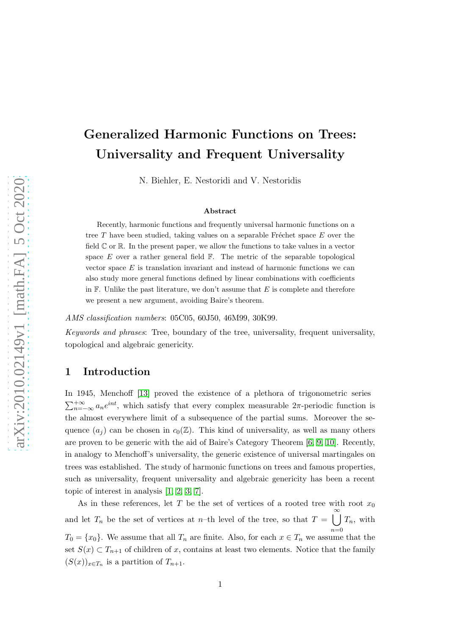N. Biehler, E. Nestoridi and V. Nestoridis

#### Abstract

Recently, harmonic functions and frequently universal harmonic functions on a tree  $T$  have been studied, taking values on a separable Fréchet space  $E$  over the field  $\mathbb C$  or  $\mathbb R$ . In the present paper, we allow the functions to take values in a vector space  $E$  over a rather general field  $\mathbb{F}$ . The metric of the separable topological vector space  $E$  is translation invariant and instead of harmonic functions we can also study more general functions defined by linear combinations with coefficients in  $\mathbb F$ . Unlike the past literature, we don't assume that E is complete and therefore we present a new argument, avoiding Baire's theorem.

AMS classification numbers: 05C05, 60J50, 46M99, 30K99.

Keywords and phrases: Tree, boundary of the tree, universality, frequent universality, topological and algebraic genericity.

### 1 Introduction

In 1945, Menchoff [\[13\]](#page-12-0) proved the existence of a plethora of trigonometric series  $\sum_{n=-\infty}^{+\infty} a_n e^{int}$ , which satisfy that every complex measurable  $2\pi$ -periodic function is the almost everywhere limit of a subsequence of the partial sums. Moreover the sequence  $(a_i)$  can be chosen in  $c_0(\mathbb{Z})$ . This kind of universality, as well as many others are proven to be generic with the aid of Baire's Category Theorem [\[6,](#page-11-0) [9,](#page-12-1) [10\]](#page-12-2). Recently, in analogy to Menchoff's universality, the generic existence of universal martingales on trees was established. The study of harmonic functions on trees and famous properties, such as universality, frequent universality and algebraic genericity has been a recent topic of interest in analysis [\[1,](#page-11-1) [2,](#page-11-2) [3,](#page-11-3) [7\]](#page-12-3).

As in these references, let T be the set of vertices of a rooted tree with root  $x_0$ and let  $T_n$  be the set of vertices at n–th level of the tree, so that  $T = \bigcup_{n=1}^{\infty} T_n$ , with  $n=0$  $T_0 = \{x_0\}$ . We assume that all  $T_n$  are finite. Also, for each  $x \in T_n$  we assume that the set  $S(x) \subset T_{n+1}$  of children of x, contains at least two elements. Notice that the family  $(S(x))_{x\in T_n}$  is a partition of  $T_{n+1}$ .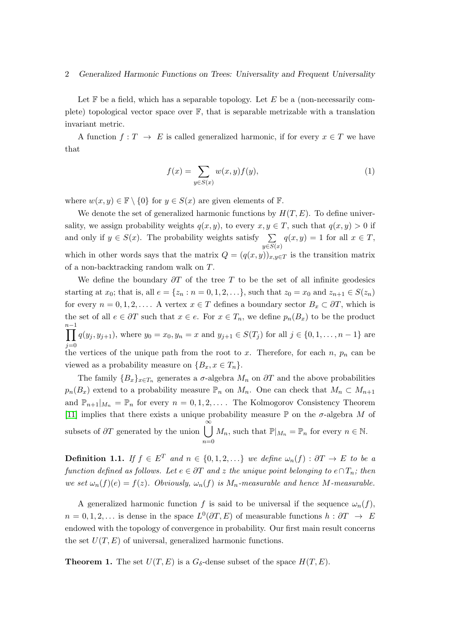Let  $\mathbb F$  be a field, which has a separable topology. Let  $E$  be a (non-necessarily complete) topological vector space over  $\mathbb{F}$ , that is separable metrizable with a translation invariant metric.

A function  $f: T \to E$  is called generalized harmonic, if for every  $x \in T$  we have that

<span id="page-1-2"></span>
$$
f(x) = \sum_{y \in S(x)} w(x, y) f(y), \qquad (1)
$$

where  $w(x, y) \in \mathbb{F} \setminus \{0\}$  for  $y \in S(x)$  are given elements of  $\mathbb{F}$ .

We denote the set of generalized harmonic functions by  $H(T, E)$ . To define universality, we assign probability weights  $q(x, y)$ , to every  $x, y \in T$ , such that  $q(x, y) > 0$  if and only if  $y \in S(x)$ . The probability weights satisfy  $\sum$  $y \in S(x)$  $q(x, y) = 1$  for all  $x \in T$ , which in other words says that the matrix  $Q = (q(x, y))_{x,y \in T}$  is the transition matrix of a non-backtracking random walk on T.

We define the boundary  $\partial T$  of the tree T to be the set of all infinite geodesics starting at  $x_0$ ; that is, all  $e = \{z_n : n = 0, 1, 2, ...\}$ , such that  $z_0 = x_0$  and  $z_{n+1} \in S(z_n)$ for every  $n = 0, 1, 2, \ldots$ . A vertex  $x \in T$  defines a boundary sector  $B_x \subset \partial T$ , which is the set of all  $e \in \partial T$  such that  $x \in e$ . For  $x \in T_n$ , we define  $p_n(B_x)$  to be the product  $n-1$  $\prod^{n-1}$  $j=0$  $q(y_j, y_{j+1}),$  where  $y_0 = x_0, y_n = x$  and  $y_{j+1} \in S(T_j)$  for all  $j \in \{0, 1, ..., n-1\}$  are the vertices of the unique path from the root to x. Therefore, for each  $n$ ,  $p_n$  can be viewed as a probability measure on  $\{B_x, x \in T_n\}.$ 

The family  ${B_x}_{x \in T_n}$  generates a  $\sigma$ -algebra  $M_n$  on  $\partial T$  and the above probabilities  $p_n(B_x)$  extend to a probability measure  $\mathbb{P}_n$  on  $M_n$ . One can check that  $M_n \subset M_{n+1}$ and  $\mathbb{P}_{n+1}|_{M_n} = \mathbb{P}_n$  for every  $n = 0, 1, 2, \ldots$ . The Kolmogorov Consistency Theorem [\[11\]](#page-12-4) implies that there exists a unique probability measure  $\mathbb P$  on the  $\sigma$ -algebra M of subsets of  $\partial T$  generated by the union  $\bigcup_{n=1}^{\infty}$  $n=0$  $M_n$ , such that  $\mathbb{P}|_{M_n} = \mathbb{P}_n$  for every  $n \in \mathbb{N}$ .

<span id="page-1-1"></span>**Definition 1.1.** If  $f \in E^T$  and  $n \in \{0, 1, 2, ...\}$  we define  $\omega_n(f) : \partial T \to E$  to be a function defined as follows. Let  $e \in \partial T$  and z the unique point belonging to  $e \cap T_n$ ; then we set  $\omega_n(f)(e) = f(z)$ . Obviously,  $\omega_n(f)$  is  $M_n$ -measurable and hence M-measurable.

A generalized harmonic function f is said to be universal if the sequence  $\omega_n(f)$ ,  $n = 0, 1, 2, \dots$  is dense in the space  $L^0(\partial T, E)$  of measurable functions  $h : \partial T \to E$ endowed with the topology of convergence in probability. Our first main result concerns the set  $U(T, E)$  of universal, generalized harmonic functions.

<span id="page-1-0"></span>**Theorem 1.** The set  $U(T, E)$  is a  $G_{\delta}$ -dense subset of the space  $H(T, E)$ .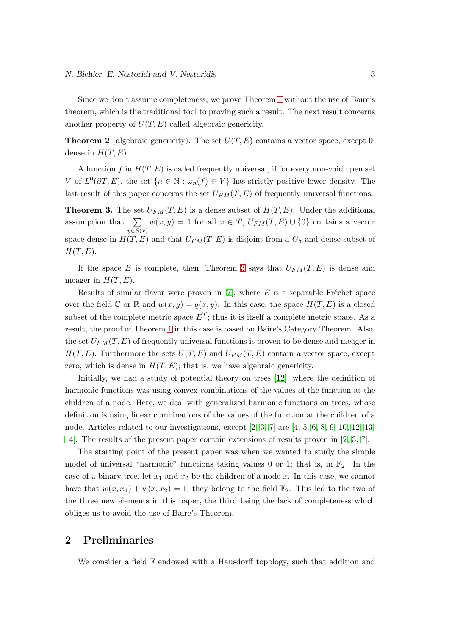Since we don't assume completeness, we prove Theorem [1](#page-1-0) without the use of Baire's theorem, which is the traditional tool to proving such a result. The next result concerns another property of  $U(T, E)$  called algebraic genericity.

<span id="page-2-1"></span>**Theorem 2** (algebraic genericity). The set  $U(T, E)$  contains a vector space, except 0, dense in  $H(T, E)$ .

A function f in  $H(T, E)$  is called frequently universal, if for every non-void open set V of  $L^0(\partial T, E)$ , the set  $\{n \in \mathbb{N} : \omega_n(f) \in V\}$  has strictly positive lower density. The last result of this paper concerns the set  $U_{FM}(T, E)$  of frequently universal functions.

<span id="page-2-0"></span>**Theorem 3.** The set  $U_{FM}(T, E)$  is a dense subset of  $H(T, E)$ . Under the additional assumption that  $\sum$  $y \in S(x)$  $w(x, y) = 1$  for all  $x \in T$ ,  $U_{FM}(T, E) \cup \{0\}$  contains a vector space dense in  $H(T, E)$  and that  $U_{FM}(T, E)$  is disjoint from a  $G_{\delta}$  and dense subset of  $H(T, E)$ .

If the space E is complete, then, Theorem [3](#page-2-0) says that  $U_{FM}(T, E)$  is dense and meager in  $H(T, E)$ .

Results of similar flavor were proven in  $[7]$ , where E is a separable Fréchet space over the field  $\mathbb C$  or  $\mathbb R$  and  $w(x, y) = q(x, y)$ . In this case, the space  $H(T, E)$  is a closed subset of the complete metric space  $E^T$ ; thus it is itself a complete metric space. As a result, the proof of Theorem [1](#page-1-0) in this case is based on Baire's Category Theorem. Also, the set  $U_{FM}(T, E)$  of frequently universal functions is proven to be dense and meager in  $H(T, E)$ . Furthermore the sets  $U(T, E)$  and  $U_{FM}(T, E)$  contain a vector space, except zero, which is dense in  $H(T, E)$ ; that is, we have algebraic genericity.

Initially, we had a study of potential theory on trees [\[12\]](#page-12-5), where the definition of harmonic functions was using convex combinations of the values of the function at the children of a node. Here, we deal with generalized harmonic functions on trees, whose definition is using linear combinations of the values of the function at the children of a node. Articles related to our investigations, except [\[2,](#page-11-2) [3,](#page-11-3) [7\]](#page-12-3) are [\[4,](#page-11-4) [5,](#page-11-5) [6,](#page-11-0) [8,](#page-12-6) [9,](#page-12-1) [10,](#page-12-2) [12,](#page-12-5) [13,](#page-12-0) [14\]](#page-12-7). The results of the present paper contain extensions of results proven in [\[2,](#page-11-2) [3,](#page-11-3) [7\]](#page-12-3).

The starting point of the present paper was when we wanted to study the simple model of universal "harmonic" functions taking values 0 or 1; that is, in  $\mathbb{F}_2$ . In the case of a binary tree, let  $x_1$  and  $x_2$  be the children of a node x. In this case, we cannot have that  $w(x, x_1) + w(x, x_2) = 1$ , they belong to the field  $\mathbb{F}_2$ . This led to the two of the three new elements in this paper, the third being the lack of completeness which obliges us to avoid the use of Baire's Theorem.

## 2 Preliminaries

We consider a field  $\mathbb F$  endowed with a Hausdorff topology, such that addition and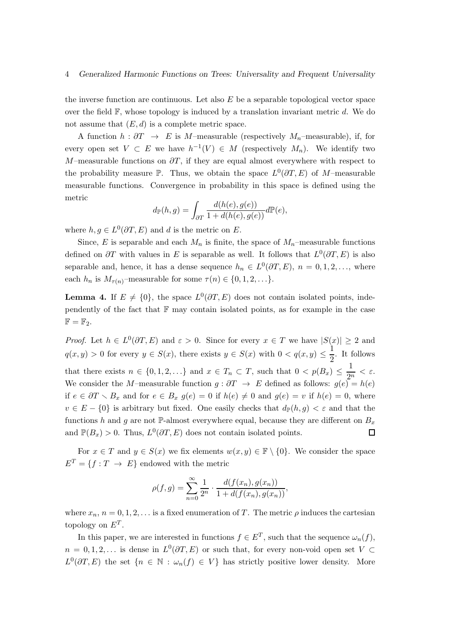the inverse function are continuous. Let also  $E$  be a separable topological vector space over the field  $\mathbb{F}$ , whose topology is induced by a translation invariant metric d. We do not assume that  $(E, d)$  is a complete metric space.

A function  $h : \partial T \to E$  is M–measurable (respectively  $M_n$ –measurable), if, for every open set  $V \subset E$  we have  $h^{-1}(V) \in M$  (respectively  $M_n$ ). We identify two M–measurable functions on  $\partial T$ , if they are equal almost everywhere with respect to the probability measure  $\mathbb{P}$ . Thus, we obtain the space  $L^0(\partial T, E)$  of M-measurable measurable functions. Convergence in probability in this space is defined using the metric

$$
d_{\mathbb{P}}(h,g)=\int_{\partial T}\frac{d(h(e),g(e))}{1+d(h(e),g(e))}d\mathbb{P}(e),
$$

where  $h, g \in L^0(\partial T, E)$  and d is the metric on E.

Since, E is separable and each  $M_n$  is finite, the space of  $M_n$ –measurable functions defined on  $\partial T$  with values in E is separable as well. It follows that  $L^0(\partial T, E)$  is also separable and, hence, it has a dense sequence  $h_n \in L^0(\partial T, E)$ ,  $n = 0, 1, 2, \ldots$ , where each  $h_n$  is  $M_{\tau(n)}$ -measurable for some  $\tau(n) \in \{0, 1, 2, \ldots\}.$ 

**Lemma 4.** If  $E \neq \{0\}$ , the space  $L^0(\partial T, E)$  does not contain isolated points, independently of the fact that  $\mathbb F$  may contain isolated points, as for example in the case  $\mathbb{F} = \mathbb{F}_2.$ 

*Proof.* Let  $h \in L^0(\partial T, E)$  and  $\varepsilon > 0$ . Since for every  $x \in T$  we have  $|S(x)| \geq 2$  and  $q(x, y) > 0$  for every  $y \in S(x)$ , there exists  $y \in S(x)$  with  $0 < q(x, y) \leq \frac{1}{2}$  $\frac{1}{2}$ . It follows that there exists  $n \in \{0, 1, 2, ...\}$  and  $x \in T_n \subset T$ , such that  $0 < p(B_x) \leq \frac{1}{2^n}$  $\frac{1}{2^n} < \varepsilon$ . We consider the M–measurable function  $g : \partial T \to E$  defined as follows:  $g(e) = h(e)$ if  $e \in \partial T \setminus B_x$  and for  $e \in B_x$   $g(e) = 0$  if  $h(e) \neq 0$  and  $g(e) = v$  if  $h(e) = 0$ , where  $v \in E - \{0\}$  is arbitrary but fixed. One easily checks that  $d_{\mathbb{P}}(h, g) < \varepsilon$  and that the functions h and g are not  $\mathbb{P}\text{-almost everywhere equal, because they are different on }B_x$ and  $\mathbb{P}(B_x) > 0$ . Thus,  $L^0(\partial T, E)$  does not contain isolated points.  $\Box$ 

For  $x \in T$  and  $y \in S(x)$  we fix elements  $w(x, y) \in \mathbb{F} \setminus \{0\}$ . We consider the space  $E^T = \{f : T \rightarrow E\}$  endowed with the metric

$$
\rho(f,g) = \sum_{n=0}^{\infty} \frac{1}{2^n} \cdot \frac{d(f(x_n), g(x_n))}{1 + d(f(x_n), g(x_n))},
$$

where  $x_n$ ,  $n = 0, 1, 2, \ldots$  is a fixed enumeration of T. The metric  $\rho$  induces the cartesian topology on  $E^T$ .

In this paper, we are interested in functions  $f \in E^T$ , such that the sequence  $\omega_n(f)$ ,  $n = 0, 1, 2, \ldots$  is dense in  $L^0(\partial T, E)$  or such that, for every non-void open set  $V \subset$  $L^0(\partial T, E)$  the set  $\{n \in \mathbb{N} : \omega_n(f) \in V\}$  has strictly positive lower density. More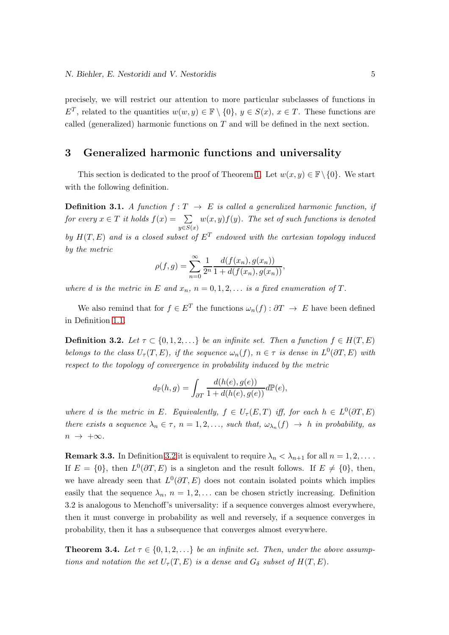precisely, we will restrict our attention to more particular subclasses of functions in  $E^T$ , related to the quantities  $w(w, y) \in \mathbb{F} \setminus \{0\}$ ,  $y \in S(x)$ ,  $x \in T$ . These functions are called (generalized) harmonic functions on  $T$  and will be defined in the next section.

## 3 Generalized harmonic functions and universality

This section is dedicated to the proof of Theorem [1.](#page-1-0) Let  $w(x, y) \in \mathbb{F}\setminus\{0\}$ . We start with the following definition.

**Definition 3.1.** A function  $f: T \rightarrow E$  is called a generalized harmonic function, if for every  $x \in T$  it holds  $f(x) = \sum$  $y \in S(x)$  $w(x,y)f(y)$ . The set of such functions is denoted by  $H(T, E)$  and is a closed subset of  $E^T$  endowed with the cartesian topology induced by the metric

$$
\rho(f,g) = \sum_{n=0}^{\infty} \frac{1}{2^n} \frac{d(f(x_n), g(x_n))}{1 + d(f(x_n), g(x_n))},
$$

where d is the metric in E and  $x_n$ ,  $n = 0, 1, 2, \ldots$  is a fixed enumeration of T.

We also remind that for  $f \in E^T$  the functions  $\omega_n(f) : \partial T \to E$  have been defined in Definition [1.1.](#page-1-1)

<span id="page-4-0"></span>**Definition 3.2.** Let  $\tau \subset \{0, 1, 2, ...\}$  be an infinite set. Then a function  $f \in H(T, E)$ belongs to the class  $U_{\tau}(T, E)$ , if the sequence  $\omega_n(f)$ ,  $n \in \tau$  is dense in  $L^0(\partial T, E)$  with respect to the topology of convergence in probability induced by the metric

$$
d_{\mathbb{P}}(h,g) = \int_{\partial T} \frac{d(h(e),g(e))}{1 + d(h(e),g(e))} d\mathbb{P}(e),
$$

where d is the metric in E. Equivalently,  $f \in U_{\tau}(E,T)$  iff, for each  $h \in L^{0}(\partial T, E)$ there exists a sequence  $\lambda_n \in \tau$ ,  $n = 1, 2, \ldots$ , such that,  $\omega_{\lambda_n}(f) \to h$  in probability, as  $n \rightarrow +\infty$ .

**Remark 3.3.** In Definition [3.2](#page-4-0) it is equivalent to require  $\lambda_n < \lambda_{n+1}$  for all  $n = 1, 2, \ldots$ . If  $E = \{0\}$ , then  $L^0(\partial T, E)$  is a singleton and the result follows. If  $E \neq \{0\}$ , then, we have already seen that  $L^0(\partial T, E)$  does not contain isolated points which implies easily that the sequence  $\lambda_n$ ,  $n = 1, 2, \ldots$  can be chosen strictly increasing. Definition 3.2 is analogous to Menchoff's universality: if a sequence converges almost everywhere, then it must converge in probability as well and reversely, if a sequence converges in probability, then it has a subsequence that converges almost everywhere.

<span id="page-4-1"></span>**Theorem 3.4.** Let  $\tau \in \{0, 1, 2, \ldots\}$  be an infinite set. Then, under the above assumptions and notation the set  $U_{\tau}(T, E)$  is a dense and  $G_{\delta}$  subset of  $H(T, E)$ .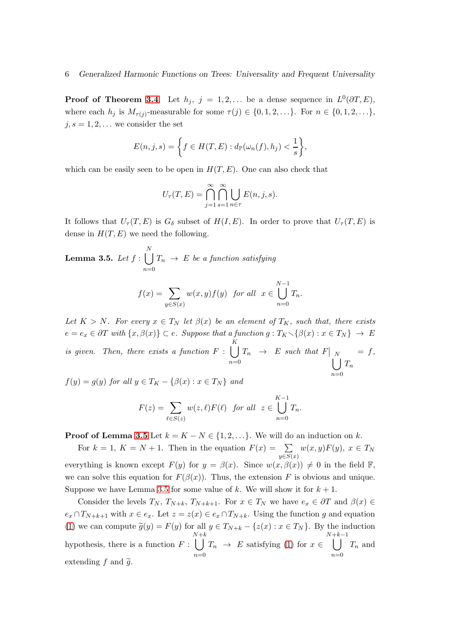**Proof of Theorem [3.4](#page-4-1)**. Let  $h_j$ ,  $j = 1, 2, ...$  be a dense sequence in  $L^0(\partial T, E)$ , where each  $h_j$  is  $M_{\tau(j)}$ -measurable for some  $\tau(j) \in \{0, 1, 2, \ldots\}$ . For  $n \in \{0, 1, 2, \ldots\}$ ,  $j, s = 1, 2, \ldots$  we consider the set

$$
E(n,j,s) = \left\{ f \in H(T,E) : d_{\mathbb{P}}(\omega_n(f), h_j) < \frac{1}{s} \right\},
$$

which can be easily seen to be open in  $H(T, E)$ . One can also check that

$$
U_{\tau}(T, E) = \bigcap_{j=1}^{\infty} \bigcap_{s=1}^{\infty} \bigcup_{n \in \tau} E(n, j, s).
$$

It follows that  $U_{\tau}(T, E)$  is  $G_{\delta}$  subset of  $H(I, E)$ . In order to prove that  $U_{\tau}(T, E)$  is dense in  $H(T, E)$  we need the following.

<span id="page-5-0"></span>**Lemma 3.5.** Let 
$$
f : \bigcup_{n=0}^{N} T_n \to E
$$
 be a function satisfying

$$
f(x) = \sum_{y \in S(x)} w(x, y) f(y) \text{ for all } x \in \bigcup_{n=0}^{N-1} T_n.
$$

Let  $K > N$ . For every  $x \in T_N$  let  $\beta(x)$  be an element of  $T_K$ , such that, there exists  $e = e_x \in \partial T$  with  $\{x, \beta(x)\} \subset e$ . Suppose that a function  $g: T_K \setminus {\beta(x) : x \in T_N} \to E$ is given. Then, there exists a function  $F: []$  $n=0$  $T_n \rightarrow E$  such that  $F|$  $\int_{1}^{N}$  $\scriptstyle T_n$  $= f,$ 

 $f(y) = g(y)$  for all  $y \in T_K - \{\beta(x) : x \in T_N\}$  and

$$
F(z) = \sum_{\ell \in S(z)} w(z,\ell) F(\ell) \text{ for all } z \in \bigcup_{n=0}^{K-1} T_n.
$$

 $n=0$ 

**Proof of Lemma [3.5](#page-5-0)** Let  $k = K - N \in \{1, 2, \ldots\}$ . We will do an induction on k.

For  $k = 1, K = N + 1$ . Then in the equation  $F(x) = \sum$  $y \in S(x)$  $w(x, y)F(y), x \in T_N$ everything is known except  $F(y)$  for  $y = \beta(x)$ . Since  $w(x, \beta(x)) \neq 0$  in the field F, we can solve this equation for  $F(\beta(x))$ . Thus, the extension F is obvious and unique. Suppose we have Lemma [3.5](#page-5-0) for some value of k. We will show it for  $k + 1$ .

Consider the levels  $T_N$ ,  $T_{N+k}$ ,  $T_{N+k+1}$ . For  $x \in T_N$  we have  $e_x \in \partial T$  and  $\beta(x) \in$  $e_x \cap T_{N+k+1}$  with  $x \in e_x$ . Let  $z = z(x) \in e_x \cap T_{N+k}$ . Using the function g and equation [\(1\)](#page-1-2) we can compute  $\tilde{g}(y) = F(y)$  for all  $y \in T_{N+k} - \{z(x) : x \in T_N\}$ . By the induction hypothesis, there is a function  $F: \bigcup T_n \to E$  satisfying [\(1\)](#page-1-2) for  $x \in$  $N+k$  $n=0$  $\bigcup_{k=1}^{N+k-1}$  $n=0$  $T_n$  and extending  $f$  and  $\tilde{g}$ .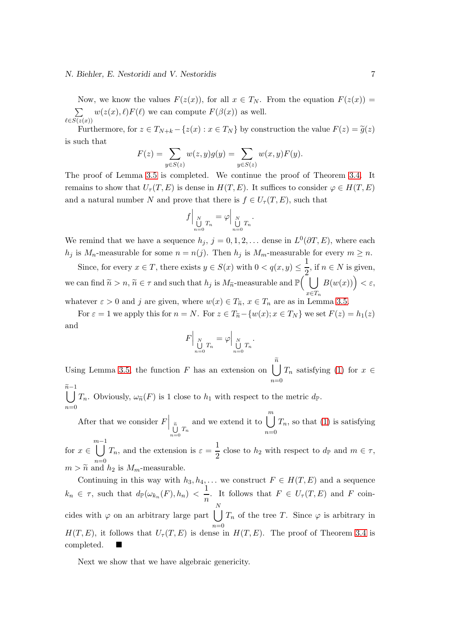#### *N. Biehler, E. Nestoridi and V. Nestoridis* 7

Now, we know the values  $F(z(x))$ , for all  $x \in T_N$ . From the equation  $F(z(x)) =$  $\sum w(z(x), \ell) F(\ell)$  we can compute  $F(\beta(x))$  as well.  $\ell \in S(z(x))$ 

Furthermore, for  $z \in T_{N+k} - \{z(x) : x \in T_N\}$  by construction the value  $F(z) = \tilde{g}(z)$ is such that

$$
F(z) = \sum_{y \in S(z)} w(z, y)g(y) = \sum_{y \in S(z)} w(x, y)F(y).
$$

The proof of Lemma [3.5](#page-5-0) is completed. We continue the proof of Theorem [3.4.](#page-4-1) It remains to show that  $U_{\tau}(T, E)$  is dense in  $H(T, E)$ . It suffices to consider  $\varphi \in H(T, E)$ and a natural number N and prove that there is  $f \in U_{\tau}(T, E)$ , such that

$$
f\Big|_{\text{M}\atop n=0}^N T_n = \varphi\Big|_{\text{M}\atop n=0}^N T_n.
$$

We remind that we have a sequence  $h_j$ ,  $j = 0, 1, 2, \ldots$  dense in  $L^0(\partial T, E)$ , where each  $h_j$  is  $M_n$ -measurable for some  $n = n(j)$ . Then  $h_j$  is  $M_m$ -measurable for every  $m \geq n$ .

Since, for every  $x \in T$ , there exists  $y \in S(x)$  with  $0 < q(x, y) \leq \frac{1}{2}$  $\frac{1}{2}$ , if  $n \in N$  is given, we can find  $\widetilde{n} > n, \widetilde{n} \in \tau$  and such that  $h_j$  is  $M_{\widetilde{n}}$ -measurable and  $\mathbb{P}(\tilde{\cup})$  $x \in T_n$  $B(w(x))$ ) <  $\varepsilon$ ,

whatever  $\varepsilon > 0$  and j are given, where  $w(x) \in T_{\tilde{n}}$ ,  $x \in T_n$  are as in Lemma [3.5.](#page-5-0)

For  $\varepsilon = 1$  we apply this for  $n = N$ . For  $z \in T_{\widetilde{n}} - \{w(x); x \in T_N\}$  we set  $F(z) = h_1(z)$ and

$$
F\Big|_{\bigcup_{n=0}^N T_n} = \varphi \Big|_{\bigcup_{n=0}^N T_n}.
$$

Using Lemma [3.5,](#page-5-0) the function F has an extension on  $\begin{bmatrix} \tilde{n} \\ \tilde{n} \end{bmatrix}$  $n=0$  $T_n$  satisfying [\(1\)](#page-1-2) for  $x \in$ 

 $\prod_{n=1}^{\widetilde{n}-1}$  $n=0$  $T_n$ . Obviously,  $\omega_{\widetilde{n}}(F)$  is 1 close to  $h_1$  with respect to the metric  $d_{\mathbb{P}}$ .

After that we consider  $F\Big|_{\tilde{n}}$  $\bigcup_{n=0} T_n$ and we extend it to  $\begin{bmatrix} m \\ m \end{bmatrix}$  $n=0$  $T_n$ , so that [\(1\)](#page-1-2) is satisfying

for  $x \in \left[ \begin{array}{c} m-1 \\ l \end{array} \right]$  $n=0$  $T_n$ , and the extension is  $\varepsilon = \frac{1}{2}$  $\frac{1}{2}$  close to  $h_2$  with respect to  $d_{\mathbb{P}}$  and  $m \in \tau$ ,  $m > \widetilde{n}$  and  $h_2$  is  $M_m$ -measurable.

Continuing in this way with  $h_3, h_4, \ldots$  we construct  $F \in H(T, E)$  and a sequence  $k_n \in \tau$ , such that  $d_{\mathbb{P}}(\omega_{k_n}(F), h_n) < \frac{1}{n}$  $\frac{1}{n}$ . It follows that  $F \in U_{\tau}(T, E)$  and F coincides with  $\varphi$  on an arbitrary large part  $\int T_n$  of the tree T. Since  $\varphi$  is arbitrary in N  $n=0$  $H(T, E)$ , it follows that  $U_{\tau}(T, E)$  is dense in  $H(T, E)$ . The proof of Theorem [3.4](#page-4-1) is completed.

Next we show that we have algebraic genericity.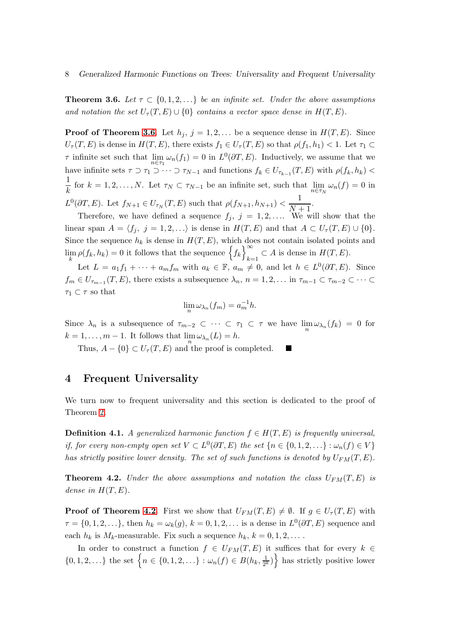<span id="page-7-0"></span>**Theorem 3.6.** Let  $\tau \subset \{0, 1, 2, \ldots\}$  be an infinite set. Under the above assumptions and notation the set  $U_\tau(T, E) \cup \{0\}$  contains a vector space dense in  $H(T, E)$ .

**Proof of Theorem [3.6](#page-7-0).** Let  $h_j$ ,  $j = 1, 2, \ldots$  be a sequence dense in  $H(T, E)$ . Since  $U_{\tau}(T, E)$  is dense in  $H(T, E)$ , there exists  $f_1 \in U_{\tau}(T, E)$  so that  $\rho(f_1, h_1) < 1$ . Let  $\tau_1 \subset$  $\tau$  infinite set such that  $\lim_{n \in \tau_1} \omega_n(f_1) = 0$  in  $L^0(\partial T, E)$ . Inductively, we assume that we have infinite sets  $\tau \supset \tau_1 \supset \cdots \supset \tau_{N-1}$  and functions  $f_k \in U_{\tau_{k-1}}(T, E)$  with  $\rho(f_k, h_k)$ 1 for  $k = 1, 2, ..., N$ . Let  $\tau_N \subset \tau_{N-1}$  be an infinite set, such that  $\lim_{n \in \tau_N} \omega_n(f) = 0$  in  $L^0(\partial T, E)$ . Let  $f_{N+1} \in U_{\tau_N}(T, E)$  such that  $\rho(f_{N+1}, h_{N+1}) < \frac{1}{N}$  $\frac{1}{N+1}$ .

Therefore, we have defined a sequence  $f_j$ ,  $j = 1, 2, \ldots$  We will show that the linear span  $A = \langle f_i, j = 1, 2, \ldots \rangle$  is dense in  $H(T, E)$  and that  $A \subset U_{\tau}(T, E) \cup \{0\}.$ Since the sequence  $h_k$  is dense in  $H(T, E)$ , which does not contain isolated points and  $\lim_{k} \rho(f_k, h_k) = 0$  it follows that the sequence  $\left\{f_k\right\}_{k=1}^{\infty}$  $_{k=1} \subset A$  is dense in  $H(T, E)$ .

Let  $L = a_1 f_1 + \cdots + a_m f_m$  with  $a_k \in \mathbb{F}$ ,  $a_m \neq 0$ , and let  $h \in L^0(\partial T, E)$ . Since  $f_m \in U_{\tau_{m-1}}(T, E)$ , there exists a subsequence  $\lambda_n$ ,  $n = 1, 2, \ldots$  in  $\tau_{m-1} \subset \tau_{m-2} \subset \cdots \subset \tau_m$  $\tau_1 \subset \tau$  so that

$$
\lim_{n} \omega_{\lambda_n}(f_m) = a_m^{-1}h.
$$

Since  $\lambda_n$  is a subsequence of  $\tau_{m-2} \subset \cdots \subset \tau_1 \subset \tau$  we have  $\lim_n \omega_{\lambda_n}(f_k) = 0$  for  $k = 1, \dots, m - 1$ . It follows that  $\lim_{n} \omega_{\lambda_n}(L) = h$ .

Thus,  $A - \{0\} \subset U_{\tau}(T, E)$  and the proof is completed.

## 4 Frequent Universality

We turn now to frequent universality and this section is dedicated to the proof of Theorem [2.](#page-2-1)

**Definition 4.1.** A generalized harmonic function  $f \in H(T, E)$  is frequently universal, if, for every non-empty open set  $V \subset L^0(\partial T, E)$  the set  $\{n \in \{0, 1, 2, \ldots\} : \omega_n(f) \in V\}$ has strictly positive lower density. The set of such functions is denoted by  $U_{FM}(T, E)$ .

<span id="page-7-1"></span>**Theorem 4.2.** Under the above assumptions and notation the class  $U_{FM}(T, E)$  is dense in  $H(T, E)$ .

**Proof of Theorem [4.2](#page-7-1).** First we show that  $U_{FM}(T, E) \neq \emptyset$ . If  $g \in U_{\tau}(T, E)$  with  $\tau = \{0, 1, 2, \ldots\}$ , then  $h_k = \omega_k(g)$ ,  $k = 0, 1, 2, \ldots$  is a dense in  $L^0(\partial T, E)$  sequence and each  $h_k$  is  $M_k$ -measurable. Fix such a sequence  $h_k$ ,  $k = 0, 1, 2, \ldots$ .

In order to construct a function  $f \in U_{FM}(T, E)$  it suffices that for every  $k \in$  $\{0, 1, 2, ...\}$  the set  $\left\{n \in \{0, 1, 2, ...\} : \omega_n(f) \in B(h_k, \frac{1}{2^k})\right\}$  $\left\{\frac{1}{2^k}\right\}$  has strictly positive lower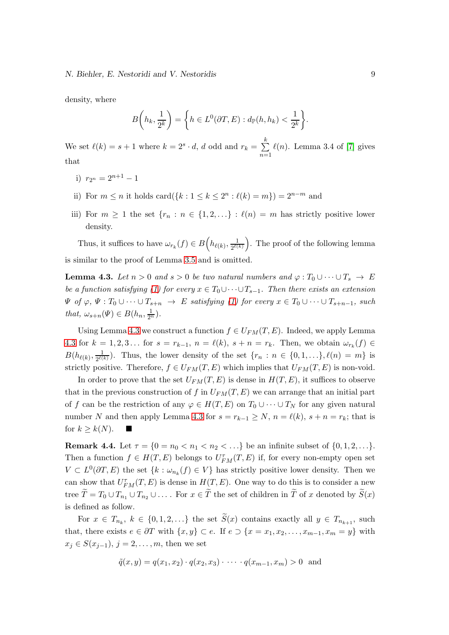density, where

$$
B\left(h_k, \frac{1}{2^k}\right) = \left\{ h \in L^0(\partial T, E) : d_{\mathbb{P}}(h, h_k) < \frac{1}{2^k} \right\}.
$$

We set  $\ell(k) = s + 1$  where  $k = 2<sup>s</sup> \cdot d$ , d odd and  $r_k = \sum_{k=1}^{k} d_k$  $n=1$  $\ell(n)$ . Lemma 3.4 of [\[7\]](#page-12-3) gives that

- i)  $r_{2^n} = 2^{n+1} 1$
- ii) For  $m \leq n$  it holds card $(\{k : 1 \leq k \leq 2^n : \ell(k) = m\}) = 2^{n-m}$  and
- iii) For  $m \geq 1$  the set  $\{r_n : n \in \{1, 2, ...\} : \ell(n) = m$  has strictly positive lower density.

Thus, it suffices to have  $\omega_{r_k}(f) \in B\left(h_{\ell(k)}, \frac{1}{2^{\ell(k)}}\right)$  $\frac{1}{2^{\ell(k)}}$ . The proof of the following lemma is similar to the proof of Lemma [3.5](#page-5-0) and is omitted.

<span id="page-8-0"></span>**Lemma 4.3.** Let  $n > 0$  and  $s > 0$  be two natural numbers and  $\varphi : T_0 \cup \cdots \cup T_s \to E$ be a function satisfying [\(1\)](#page-1-2) for every  $x \in T_0 \cup \cdots \cup T_{s-1}$ . Then there exists an extension  $\Psi$  of  $\varphi, \Psi : T_0 \cup \cdots \cup T_{s+n} \to E$  satisfying [\(1\)](#page-1-2) for every  $x \in T_0 \cup \cdots \cup T_{s+n-1}$ , such that,  $\omega_{s+n}(\Psi) \in B(h_n, \frac{1}{2^n}).$ 

Using Lemma [4.3](#page-8-0) we construct a function  $f \in U_{FM}(T, E)$ . Indeed, we apply Lemma [4.3](#page-8-0) for  $k = 1, 2, 3...$  for  $s = r_{k-1}$ ,  $n = \ell(k)$ ,  $s + n = r_k$ . Then, we obtain  $\omega_{r_k}(f) \in$  $B(h_{\ell(k)}, \frac{1}{2^{\ell(k)}}$  $\frac{1}{2^{\ell(k)}}$ ). Thus, the lower density of the set  $\{r_n : n \in \{0,1,\ldots\}, \ell(n) = m\}$  is strictly positive. Therefore,  $f \in U_{FM}(T, E)$  which implies that  $U_{FM}(T, E)$  is non-void.

In order to prove that the set  $U_{FM}(T, E)$  is dense in  $H(T, E)$ , it suffices to observe that in the previous construction of f in  $U_{FM}(T, E)$  we can arrange that an initial part of f can be the restriction of any  $\varphi \in H(T, E)$  on  $T_0 \cup \cdots \cup T_N$  for any given natural number N and then apply Lemma [4.3](#page-8-0) for  $s = r_{k-1} \geq N$ ,  $n = \ell(k)$ ,  $s + n = r_k$ ; that is for  $k \geq k(N)$ .

<span id="page-8-1"></span>**Remark 4.4.** Let  $\tau = \{0 = n_0 < n_1 < n_2 < \ldots\}$  be an infinite subset of  $\{0, 1, 2, \ldots\}$ . Then a function  $f \in H(T, E)$  belongs to  $U_{FM}^{\tau}(T, E)$  if, for every non-empty open set  $V \subset L^0(\partial T, E)$  the set  $\{k : \omega_{n_k}(f) \in V\}$  has strictly positive lower density. Then we can show that  $U_{FM}^{\tau}(T, E)$  is dense in  $H(T, E)$ . One way to do this is to consider a new tree  $\widetilde{T} = T_0 \cup T_{n_1} \cup T_{n_2} \cup \ldots$  For  $x \in \widetilde{T}$  the set of children in  $\widetilde{T}$  of x denoted by  $\widetilde{S}(x)$ is defined as follow.

For  $x \in T_{n_k}$ ,  $k \in \{0, 1, 2, \ldots\}$  the set  $S(x)$  contains exactly all  $y \in T_{n_{k+1}}$ , such that, there exists  $e \in \partial T$  with  $\{x, y\} \subset e$ . If  $e \supset \{x = x_1, x_2, \ldots, x_{m-1}, x_m = y\}$  with  $x_j \in S(x_{j-1}), j = 2, \ldots, m$ , then we set

$$
\tilde{q}(x, y) = q(x_1, x_2) \cdot q(x_2, x_3) \cdot \cdots \cdot q(x_{m-1}, x_m) > 0
$$
 and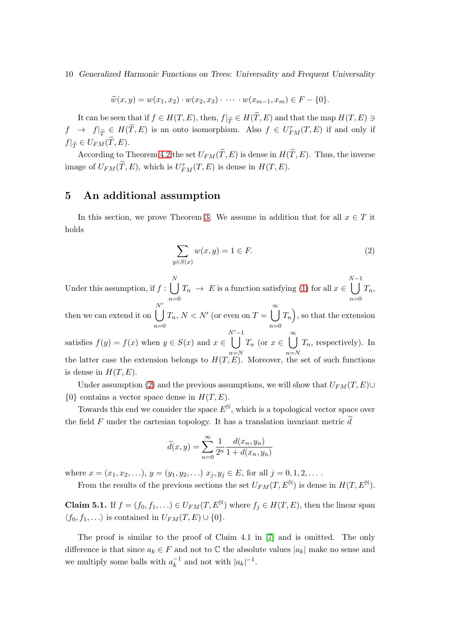$$
\widetilde{w}(x,y) = w(x_1,x_2) \cdot w(x_2,x_3) \cdot \cdots \cdot w(x_{m-1},x_m) \in F - \{0\}.
$$

It can be seen that if  $f \in H(T, E)$ , then,  $f|_{\widetilde{T}} \in H(T, E)$  and that the map  $H(T, E) \ni$  $f \rightarrow f|_{\widetilde{T}} \in H(\widetilde{T},E)$  is an onto isomorphism. Also  $f \in U_{FM}^{\tau}(T,E)$  if and only if  $f|_{\widetilde{T}} \in U_{FM}(T,E).$ 

According to Theorem [4.2](#page-7-1) the set  $U_{FM}(\widetilde{T}, E)$  is dense in  $H(\widetilde{T}, E)$ . Thus, the inverse image of  $U_{FM}(\tilde{T}, E)$ , which is  $U_{FM}^{\tau}(T, E)$  is dense in  $H(T, E)$ .

## 5 An additional assumption

In this section, we prove Theorem [3.](#page-2-0) We assume in addition that for all  $x \in T$  it holds

<span id="page-9-0"></span>
$$
\sum_{y \in S(x)} w(x, y) = 1 \in F. \tag{2}
$$

Under this assumption, if  $f : \bigcup^N$  $n=0$  $T_n \to E$  is a function satisfying [\(1\)](#page-1-2) for all  $x \in$  $\bigcap_{n=1}^{N-1}$  $n=0$  $T_n,$ then we can extend it on  $\bigcup^{N'}$  $n=0$  $T_n, N < N'$  (or even on  $T = \bigcup_{n=1}^{\infty}$  $n=0$  $T_n$ , so that the extension satisfies  $f(y) = f(x)$  when  $y \in S(x)$  and  $x \in$  $\frac{N'-1}{\vert}$  $n=N$  $T_n$  (or  $x \in \bigcup^{\infty}$  $n=N$  $T_n$ , respectively). In the latter case the extension belongs to  $H(T, E)$ . Moreover, the set of such functions is dense in  $H(T, E)$ .

Under assumption [\(2\)](#page-9-0) and the previous assumptions, we will show that  $U_{FM}(T, E) \cup$  $\{0\}$  contains a vector space dense in  $H(T, E)$ .

Towards this end we consider the space  $E^N$ , which is a topological vector space over the field F under the cartesian topology. It has a translation invariant metric  $\tilde{d}$ 

$$
\widetilde{d}(x,y) = \sum_{n=0}^{\infty} \frac{1}{2^n} \frac{d(x_n, y_n)}{1 + d(x_n, y_n)}
$$

where  $x = (x_1, x_2, \ldots), y = (y_1, y_2, \ldots) x_j, y_j \in E$ , for all  $j = 0, 1, 2, \ldots$ .

From the results of the previous sections the set  $U_{FM}(T, E^{\mathbb{N}})$  is dense in  $H(T, E^{\mathbb{N}})$ .

<span id="page-9-1"></span>**Claim 5.1.** If  $f = (f_0, f_1, ...) \in U_{FM}(T, E^{\mathbb{N}})$  where  $f_j \in H(T, E)$ , then the linear span  $\langle f_0, f_1, \ldots \rangle$  is contained in  $U_{FM}(T, E) \cup \{0\}.$ 

The proof is similar to the proof of Claim 4.1 in [\[7\]](#page-12-3) and is omitted. The only difference is that since  $a_k \in F$  and not to  $\mathbb C$  the absolute values  $|a_k|$  make no sense and we multiply some balls with  $a_k^{-1}$  and not with  $|a_k|^{-1}$ .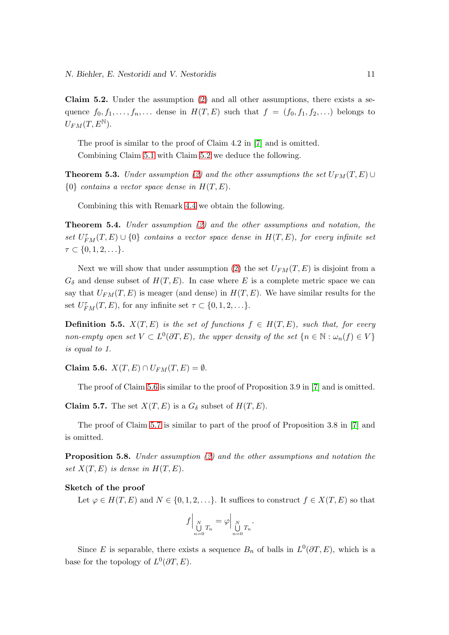<span id="page-10-0"></span>Claim 5.2. Under the assumption [\(2\)](#page-9-0) and all other assumptions, there exists a sequence  $f_0, f_1, \ldots, f_n, \ldots$  dense in  $H(T, E)$  such that  $f = (f_0, f_1, f_2, \ldots)$  belongs to  $U_{FM}(T, E^{\mathbb{N}}).$ 

The proof is similar to the proof of Claim 4.2 in [\[7\]](#page-12-3) and is omitted. Combining Claim [5.1](#page-9-1) with Claim [5.2](#page-10-0) we deduce the following.

**Theorem 5.3.** Under assumption [\(2\)](#page-9-0) and the other assumptions the set  $U_{FM}(T, E) \cup$  ${0}$  contains a vector space dense in  $H(T, E)$ .

Combining this with Remark [4.4](#page-8-1) we obtain the following.

**Theorem 5.4.** Under assumption  $(2)$  and the other assumptions and notation, the set  $U_{FM}^{\tau}(T,E) \cup \{0\}$  contains a vector space dense in  $H(T,E)$ , for every infinite set  $\tau \subset \{0,1,2,\ldots\}.$ 

Next we will show that under assumption [\(2\)](#page-9-0) the set  $U_{FM}(T, E)$  is disjoint from a  $G_{\delta}$  and dense subset of  $H(T, E)$ . In case where E is a complete metric space we can say that  $U_{FM}(T, E)$  is meager (and dense) in  $H(T, E)$ . We have similar results for the set  $U_{FM}^{\tau}(T, E)$ , for any infinite set  $\tau \subset \{0, 1, 2, \ldots\}$ .

**Definition 5.5.**  $X(T, E)$  is the set of functions  $f \in H(T, E)$ , such that, for every non-empty open set  $V \subset L^0(\partial T, E)$ , the upper density of the set  $\{n \in \mathbb{N} : \omega_n(f) \in V\}$ is equal to 1.

<span id="page-10-1"></span>Claim 5.6.  $X(T, E) \cap U_{FM}(T, E) = \emptyset$ .

The proof of Claim [5.6](#page-10-1) is similar to the proof of Proposition 3.9 in [\[7\]](#page-12-3) and is omitted.

<span id="page-10-2"></span>**Claim 5.7.** The set  $X(T, E)$  is a  $G_{\delta}$  subset of  $H(T, E)$ .

The proof of Claim [5.7](#page-10-2) is similar to part of the proof of Proposition 3.8 in [\[7\]](#page-12-3) and is omitted.

**Proposition 5.8.** Under assumption  $(2)$  and the other assumptions and notation the set  $X(T, E)$  is dense in  $H(T, E)$ .

#### Sketch of the proof

Let  $\varphi \in H(T, E)$  and  $N \in \{0, 1, 2, \ldots\}$ . It suffices to construct  $f \in X(T, E)$  so that

$$
f\Big|_{\underset{n=0}{\text{N}}} T_n = \varphi \Big|_{\underset{n=0}{\text{N}}} T_n.
$$

Since E is separable, there exists a sequence  $B_n$  of balls in  $L^0(\partial T, E)$ , which is a base for the topology of  $L^0(\partial T, E)$ .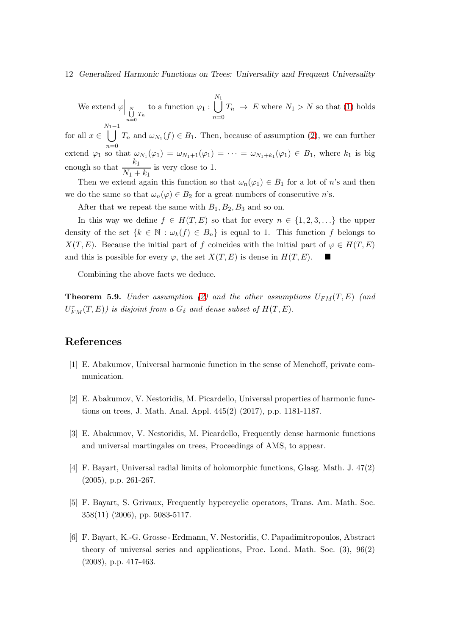We extend  $\varphi\Big|_H$  $\bigcup_{n=0}^{N} T_n$  to a function  $\varphi_1 : \bigcup_{n=0}^{N_1} T_n$  $n=0$  $T_n \to E$  where  $N_1 > N$  so that [\(1\)](#page-1-2) holds

for all  $x \in$  $\bigcup_{N_1-1}^{N_1-1} T_n$  and  $\omega_{N_1}(f) \in B_1$ . Then, because of assumption [\(2\)](#page-9-0), we can further  $n=0$ extend  $\varphi_1$  so that  $\omega_{N_1}(\varphi_1) = \omega_{N_1+1}(\varphi_1) = \cdots = \omega_{N_1+k_1}(\varphi_1) \in B_1$ , where  $k_1$  is big enough so that  $\frac{k_1}{N}$  $\frac{n_1}{N_1 + k_1}$  is very close to 1.

Then we extend again this function so that  $\omega_n(\varphi_1) \in B_1$  for a lot of n's and then we do the same so that  $\omega_n(\varphi) \in B_2$  for a great numbers of consecutive n's.

After that we repeat the same with  $B_1, B_2, B_3$  and so on.

In this way we define  $f \in H(T, E)$  so that for every  $n \in \{1, 2, 3, \ldots\}$  the upper density of the set  $\{k \in \mathbb{N} : \omega_k(f) \in B_n\}$  is equal to 1. This function f belongs to  $X(T, E)$ . Because the initial part of f coincides with the initial part of  $\varphi \in H(T, E)$ and this is possible for every  $\varphi$ , the set  $X(T, E)$  is dense in  $H(T, E)$ .

Combining the above facts we deduce.

**Theorem 5.9.** Under assumption [\(2\)](#page-9-0) and the other assumptions  $U_{FM}(T, E)$  (and  $U_{FM}^{\tau}(T,E))$  is disjoint from a  $G_{\delta}$  and dense subset of  $H(T,E)$ .

## <span id="page-11-1"></span>References

- <span id="page-11-2"></span>[1] E. Abakumov, Universal harmonic function in the sense of Menchoff, private communication.
- <span id="page-11-3"></span>[2] E. Abakumov, V. Nestoridis, M. Picardello, Universal properties of harmonic functions on trees, J. Math. Anal. Appl. 445(2) (2017), p.p. 1181-1187.
- <span id="page-11-4"></span>[3] E. Abakumov, V. Nestoridis, M. Picardello, Frequently dense harmonic functions and universal martingales on trees, Proceedings of AMS, to appear.
- <span id="page-11-5"></span>[4] F. Bayart, Universal radial limits of holomorphic functions, Glasg. Math. J. 47(2) (2005), p.p. 261-267.
- <span id="page-11-0"></span>[5] F. Bayart, S. Grivaux, Frequently hypercyclic operators, Trans. Am. Math. Soc. 358(11) (2006), pp. 5083-5117.
- [6] F. Bayart, K.-G. Grosse Erdmann, V. Nestoridis, C. Papadimitropoulos, Abstract theory of universal series and applications, Proc. Lond. Math. Soc. (3), 96(2) (2008), p.p. 417-463.